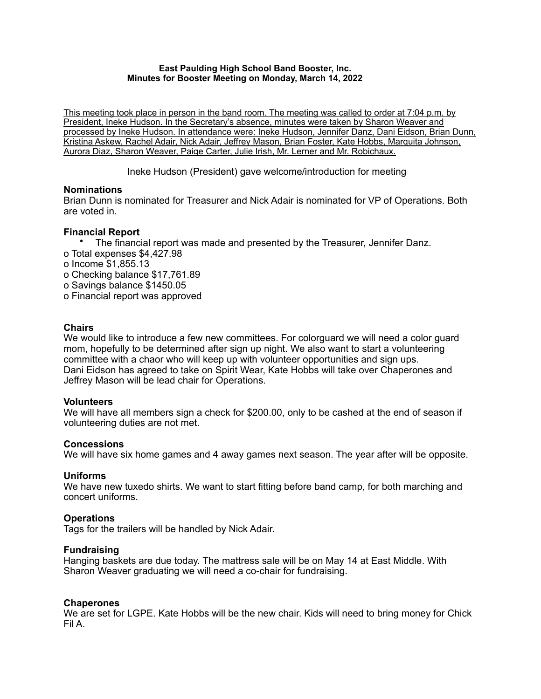#### **East Paulding High School Band Booster, Inc. Minutes for Booster Meeting on Monday, March 14, 2022**

This meeting took place in person in the band room. The meeting was called to order at 7:04 p.m. by President, Ineke Hudson. In the Secretary's absence, minutes were taken by Sharon Weaver and processed by Ineke Hudson. In attendance were: Ineke Hudson, Jennifer Danz, Dani Eidson, Brian Dunn, Kristina Askew, Rachel Adair, Nick Adair, Jeffrey Mason, Brian Foster, Kate Hobbs, Marquita Johnson, Aurora Diaz, Sharon Weaver, Paige Carter, Julie Irish, Mr. Lerner and Mr. Robichaux.

Ineke Hudson (President) gave welcome/introduction for meeting

# **Nominations**

Brian Dunn is nominated for Treasurer and Nick Adair is nominated for VP of Operations. Both are voted in.

#### **Financial Report**

• The financial report was made and presented by the Treasurer, Jennifer Danz. o Total expenses \$4,427.98 o Income \$1,855.13 o Checking balance \$17,761.89 o Savings balance \$1450.05 o Financial report was approved

# **Chairs**

We would like to introduce a few new committees. For colorguard we will need a color guard mom, hopefully to be determined after sign up night. We also want to start a volunteering committee with a chaor who will keep up with volunteer opportunities and sign ups. Dani Eidson has agreed to take on Spirit Wear, Kate Hobbs will take over Chaperones and Jeffrey Mason will be lead chair for Operations.

# **Volunteers**

We will have all members sign a check for \$200.00, only to be cashed at the end of season if volunteering duties are not met.

# **Concessions**

We will have six home games and 4 away games next season. The year after will be opposite.

#### **Uniforms**

We have new tuxedo shirts. We want to start fitting before band camp, for both marching and concert uniforms.

#### **Operations**

Tags for the trailers will be handled by Nick Adair.

#### **Fundraising**

Hanging baskets are due today. The mattress sale will be on May 14 at East Middle. With Sharon Weaver graduating we will need a co-chair for fundraising.

# **Chaperones**

We are set for LGPE. Kate Hobbs will be the new chair. Kids will need to bring money for Chick Fil A.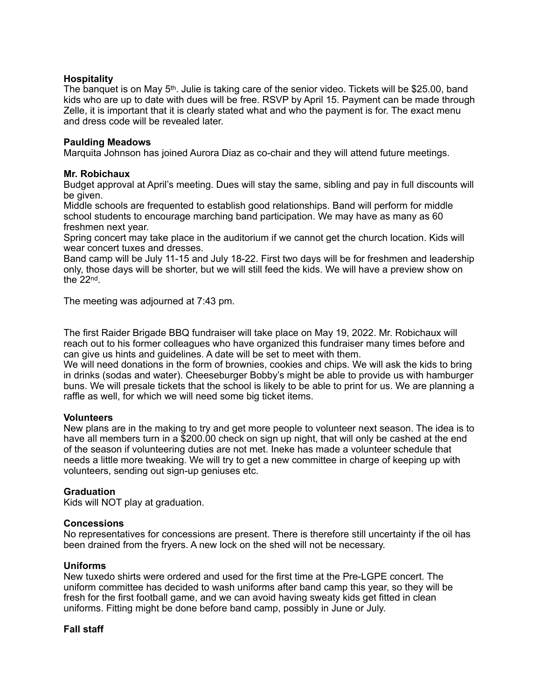# **Hospitality**

The banquet is on May 5<sup>th</sup>. Julie is taking care of the senior video. Tickets will be \$25.00, band kids who are up to date with dues will be free. RSVP by April 15. Payment can be made through Zelle, it is important that it is clearly stated what and who the payment is for. The exact menu and dress code will be revealed later.

# **Paulding Meadows**

Marquita Johnson has joined Aurora Diaz as co-chair and they will attend future meetings.

# **Mr. Robichaux**

Budget approval at April's meeting. Dues will stay the same, sibling and pay in full discounts will be given.

Middle schools are frequented to establish good relationships. Band will perform for middle school students to encourage marching band participation. We may have as many as 60 freshmen next year.

Spring concert may take place in the auditorium if we cannot get the church location. Kids will wear concert tuxes and dresses.

Band camp will be July 11-15 and July 18-22. First two days will be for freshmen and leadership only, those days will be shorter, but we will still feed the kids. We will have a preview show on the 22nd.

The meeting was adjourned at 7:43 pm.

The first Raider Brigade BBQ fundraiser will take place on May 19, 2022. Mr. Robichaux will reach out to his former colleagues who have organized this fundraiser many times before and can give us hints and guidelines. A date will be set to meet with them.

We will need donations in the form of brownies, cookies and chips. We will ask the kids to bring in drinks (sodas and water). Cheeseburger Bobby's might be able to provide us with hamburger buns. We will presale tickets that the school is likely to be able to print for us. We are planning a raffle as well, for which we will need some big ticket items.

# **Volunteers**

New plans are in the making to try and get more people to volunteer next season. The idea is to have all members turn in a \$200.00 check on sign up night, that will only be cashed at the end of the season if volunteering duties are not met. Ineke has made a volunteer schedule that needs a little more tweaking. We will try to get a new committee in charge of keeping up with volunteers, sending out sign-up geniuses etc.

# **Graduation**

Kids will NOT play at graduation.

# **Concessions**

No representatives for concessions are present. There is therefore still uncertainty if the oil has been drained from the fryers. A new lock on the shed will not be necessary.

# **Uniforms**

New tuxedo shirts were ordered and used for the first time at the Pre-LGPE concert. The uniform committee has decided to wash uniforms after band camp this year, so they will be fresh for the first football game, and we can avoid having sweaty kids get fitted in clean uniforms. Fitting might be done before band camp, possibly in June or July.

# **Fall staff**